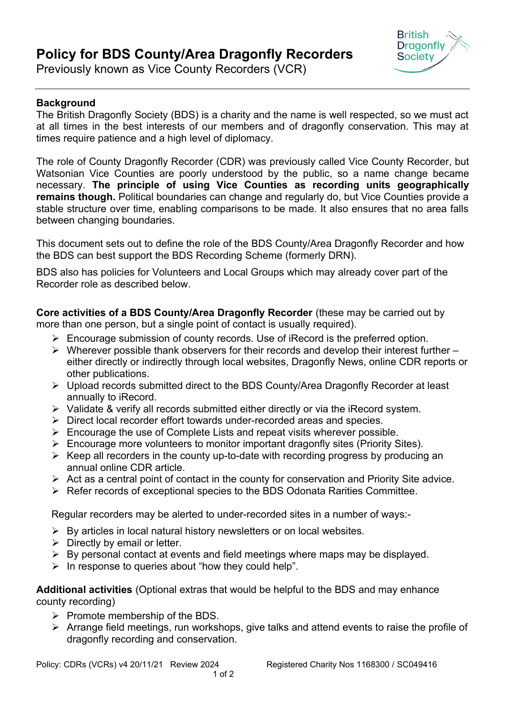## **Policy for BDS County/Area Dragonfly Recorders**



Previously known as Vice County Recorders (VCR)

## **Background**

The British Dragonfly Society (BDS) is a charity and the name is well respected, so we must act at all times in the best interests of our members and of dragonfly conservation. This may at times require patience and a high level of diplomacy.

The role of County Dragonfly Recorder (CDR) was previously called Vice County Recorder, but Watsonian Vice Counties are poorly understood by the public, so a name change became necessary. **The principle of using Vice Counties as recording units geographically remains though.** Political boundaries can change and regularly do, but Vice Counties provide a stable structure over time, enabling comparisons to be made. It also ensures that no area falls between changing boundaries.

This document sets out to define the role of the BDS County/Area Dragonfly Recorder and how the BDS can best support the BDS Recording Scheme (formerly DRN).

BDS also has policies for Volunteers and Local Groups which may already cover part of the Recorder role as described below.

**Core activities of a BDS County/Area Dragonfly Recorder** (these may be carried out by more than one person, but a single point of contact is usually required).

- $\triangleright$  Encourage submission of county records. Use of iRecord is the preferred option.
- $\triangleright$  Wherever possible thank observers for their records and develop their interest further either directly or indirectly through local websites, Dragonfly News, online CDR reports or other publications.
- Upload records submitted direct to the BDS County/Area Dragonfly Recorder at least annually to iRecord.
- $\triangleright$  Validate & verify all records submitted either directly or via the iRecord system.
- Direct local recorder effort towards under-recorded areas and species.
- $\triangleright$  Encourage the use of Complete Lists and repeat visits wherever possible.
- $\triangleright$  Encourage more volunteers to monitor important dragonfly sites (Priority Sites).
- $\triangleright$  Keep all recorders in the county up-to-date with recording progress by producing an annual online CDR article.
- $\triangleright$  Act as a central point of contact in the county for conservation and Priority Site advice.
- Refer records of exceptional species to the BDS Odonata Rarities Committee.

Regular recorders may be alerted to under-recorded sites in a number of ways:-

- $\triangleright$  By articles in local natural history newsletters or on local websites.
- $\triangleright$  Directly by email or letter.
- $\triangleright$  By personal contact at events and field meetings where maps may be displayed.
- $\triangleright$  In response to queries about "how they could help".

**Additional activities** (Optional extras that would be helpful to the BDS and may enhance county recording)

- $\triangleright$  Promote membership of the BDS.
- $\triangleright$  Arrange field meetings, run workshops, give talks and attend events to raise the profile of dragonfly recording and conservation.